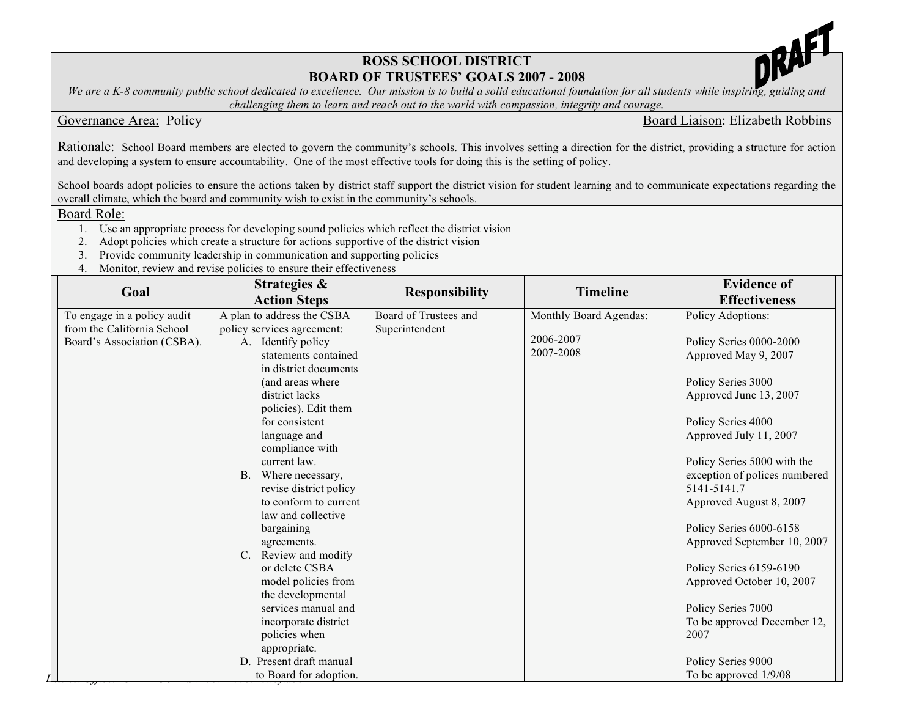## **ROSS SCHOOL DISTRICT BOARD OF TRUSTEES' GOALS 2007 - 2008**



We are a K-8 community public school dedicated to excellence. Our mission is to build a solid educational foundation for all students while inspiring, guiding and *challenging them to learn and reach out to the world with compassion, integrity and courage.* 

Governance Area: Policy **Board Liaison: Elizabeth Robbins** 

Rationale: School Board members are elected to govern the community's schools. This involves setting a direction for the district, providing a structure for action and developing a system to ensure accountability. One of the most effective tools for doing this is the setting of policy.

School boards adopt policies to ensure the actions taken by district staff support the district vision for student learning and to communicate expectations regarding the overall climate, which the board and community wish to exist in the community's schools.

Board Role:

- 1. Use an appropriate process for developing sound policies which reflect the district vision
- 2. Adopt policies which create a structure for actions supportive of the district vision
- 3. Provide community leadership in communication and supporting policies
- 4. Monitor, review and revise policies to ensure their effectiveness

| Goal                        | Strategies &                                    | <b>Responsibility</b> | <b>Timeline</b>        | <b>Evidence of</b>                           |
|-----------------------------|-------------------------------------------------|-----------------------|------------------------|----------------------------------------------|
|                             | <b>Action Steps</b>                             |                       |                        | <b>Effectiveness</b>                         |
| To engage in a policy audit | A plan to address the CSBA                      | Board of Trustees and | Monthly Board Agendas: | Policy Adoptions:                            |
| from the California School  | policy services agreement:                      | Superintendent        |                        |                                              |
| Board's Association (CSBA). | A. Identify policy                              |                       | 2006-2007              | Policy Series 0000-2000                      |
|                             | statements contained                            |                       | 2007-2008              | Approved May 9, 2007                         |
|                             | in district documents                           |                       |                        |                                              |
|                             | (and areas where                                |                       |                        | Policy Series 3000                           |
|                             | district lacks                                  |                       |                        | Approved June 13, 2007                       |
|                             | policies). Edit them                            |                       |                        |                                              |
|                             | for consistent                                  |                       |                        | Policy Series 4000                           |
|                             | language and                                    |                       |                        | Approved July 11, 2007                       |
|                             | compliance with                                 |                       |                        |                                              |
|                             | current law.                                    |                       |                        | Policy Series 5000 with the                  |
|                             | Where necessary,<br><b>B.</b>                   |                       |                        | exception of polices numbered<br>5141-5141.7 |
|                             | revise district policy<br>to conform to current |                       |                        |                                              |
|                             | law and collective                              |                       |                        | Approved August 8, 2007                      |
|                             | bargaining                                      |                       |                        | Policy Series 6000-6158                      |
|                             | agreements.                                     |                       |                        | Approved September 10, 2007                  |
|                             | Review and modify<br>$C_{\cdot}$                |                       |                        |                                              |
|                             | or delete CSBA                                  |                       |                        | Policy Series 6159-6190                      |
|                             | model policies from                             |                       |                        | Approved October 10, 2007                    |
|                             | the developmental                               |                       |                        |                                              |
|                             | services manual and                             |                       |                        | Policy Series 7000                           |
|                             | incorporate district                            |                       |                        | To be approved December 12,                  |
|                             | policies when                                   |                       |                        | 2007                                         |
|                             | appropriate.                                    |                       |                        |                                              |
|                             | D. Present draft manual                         |                       |                        | Policy Series 9000                           |
|                             | to Board for adoption.                          |                       |                        | To be approved 1/9/08                        |